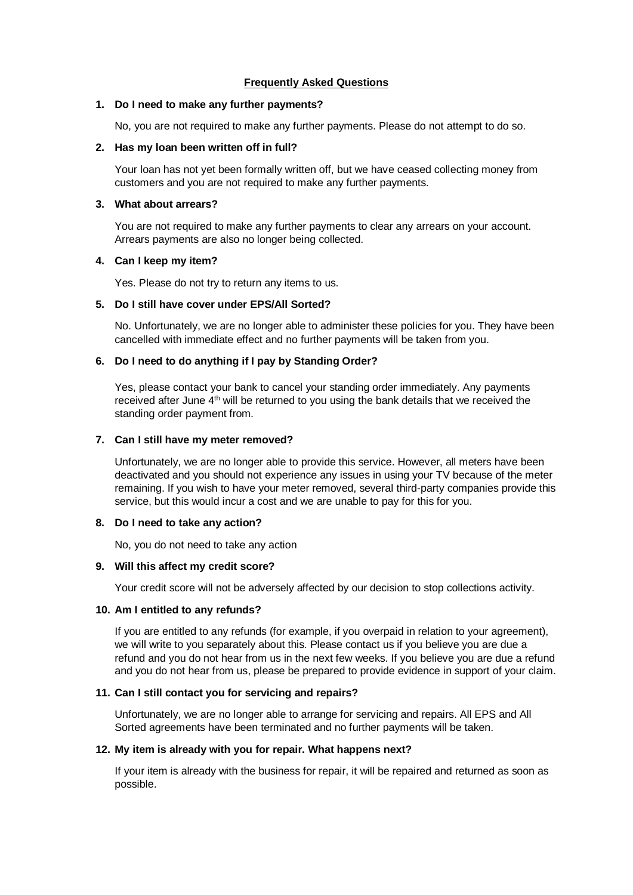# **Frequently Asked Questions**

#### **1. Do I need to make any further payments?**

No, you are not required to make any further payments. Please do not attempt to do so.

# **2. Has my loan been written off in full?**

Your loan has not yet been formally written off, but we have ceased collecting money from customers and you are not required to make any further payments.

# **3. What about arrears?**

You are not required to make any further payments to clear any arrears on your account. Arrears payments are also no longer being collected.

## **4. Can I keep my item?**

Yes. Please do not try to return any items to us.

#### **5. Do I still have cover under EPS/All Sorted?**

No. Unfortunately, we are no longer able to administer these policies for you. They have been cancelled with immediate effect and no further payments will be taken from you.

#### **6. Do I need to do anything if I pay by Standing Order?**

Yes, please contact your bank to cancel your standing order immediately. Any payments received after June 4<sup>th</sup> will be returned to you using the bank details that we received the standing order payment from.

## **7. Can I still have my meter removed?**

Unfortunately, we are no longer able to provide this service. However, all meters have been deactivated and you should not experience any issues in using your TV because of the meter remaining. If you wish to have your meter removed, several third-party companies provide this service, but this would incur a cost and we are unable to pay for this for you.

#### **8. Do I need to take any action?**

No, you do not need to take any action

## **9. Will this affect my credit score?**

Your credit score will not be adversely affected by our decision to stop collections activity.

# **10. Am I entitled to any refunds?**

If you are entitled to any refunds (for example, if you overpaid in relation to your agreement), we will write to you separately about this. Please contact us if you believe you are due a refund and you do not hear from us in the next few weeks. If you believe you are due a refund and you do not hear from us, please be prepared to provide evidence in support of your claim.

# **11. Can I still contact you for servicing and repairs?**

Unfortunately, we are no longer able to arrange for servicing and repairs. All EPS and All Sorted agreements have been terminated and no further payments will be taken.

# **12. My item is already with you for repair. What happens next?**

If your item is already with the business for repair, it will be repaired and returned as soon as possible.